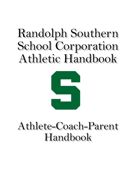# Randolph Southern School Corporation Athletic Handbook



# Athlete-Coach-Parent Handbook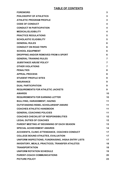# **TABLE OF CONTENTS**

| <b>FOREWORD</b>                                       | 3               |
|-------------------------------------------------------|-----------------|
| PHILOSOPHY OF ATHLETICS                               | 3               |
| <b>ATHLETIC PROGRAM PROFILE</b>                       | 3               |
| <b>CODE OF CONDUCT</b>                                | 4               |
| <b>CONDUCT IN PARTICIPATION</b>                       | 4               |
| <b>MEDICAL/ELIGIBILITY</b>                            | 4               |
| <b>PRACTICE REGULATIONS</b>                           | 5               |
| <b>SCHOLASTIC ELIGIBILITY</b>                         | 5               |
| <b>GENERAL RULES</b>                                  | 6               |
| <b>CONDUCT ON ROAD TRIPS</b>                          | 6               |
| <b>SCHOOL EQUIPMENT</b>                               | 6               |
| DROPPING AND/OR REMOVED FROM A SPORT                  | 6               |
| <b>GENERAL TRAINING RULES</b>                         | 7               |
| <b>SUBSTANCE ABUSE POLICY</b>                         | 7               |
| <b>OTHER VIOLATIONS</b>                               | 7               |
| <b>PENALTIES</b>                                      | 8               |
| <b>APPEAL PROCESS</b>                                 | 8               |
| <b>STUDENT PROFILE SITES</b>                          | 9               |
| <b>INSURANCE</b>                                      | 9               |
| <b>DUAL PARTICIPATION</b>                             | 9               |
| <b>REQUIREMENTS FOR ATHLETIC JACKETS</b>              | 9               |
| <b>AWARDS</b>                                         | 10              |
| <b>REQUIREMENTS FOR EARNING LETTER</b>                | 10              |
| <b>BULLYING, HARASSMENT, HAZING</b>                   | 11              |
| <b>OUTSTANDING REBEL SCHOLARSHIP AWARD</b>            | 11              |
| <b>COACHES ATHLETIC HANDBOOK</b>                      | 11              |
| <b>GENERAL COACHING POLICIES</b>                      | 11              |
| <b>COACHES CHECKLIST OF RESPONSIBILITIES</b>          | 12 <sub>2</sub> |
| <b>LEGAL DUTIES OF COACHES</b>                        | 12 <sub>2</sub> |
| <b>PARENT MEETING AT BEGINNING OF EACH SEASON</b>     | 13              |
| <b>SPECIAL ACHIEVEMENT AWARDS</b>                     | 14              |
| ACCIDENTS, CLINIC ATTENDANCE, COACHES CONDUCT         | 17              |
| <b>COLLEGE BOUND ATHLETES, EVALUATION</b>             | 17              |
| UNIFORM INSPECTIONS, FUNDRAISING, IHSAA ENTRY LISTS   | 17              |
| <b>INVENTORY, MEALS, PRACTICES, TRANSFER ATHLETES</b> | 18              |
| <b>TRANSPORTATION</b>                                 | 18              |
| <b>UNIFORM ROTATION SCHEDULE</b>                      | 19              |
| PARENT-COACH COMMUNICATIONS                           | 20              |
| <b>PICTURE POLICY</b>                                 | 23              |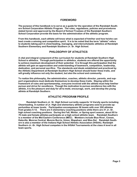# **FOREWORD**

**The purpose of this handbook is to serve as a guide for the operation of the Randolph Southern School Corporation Athletic Program. The rules, regulations, policies and procedures stated herein and approved by the Board of School Trustees of the Randolph Southern School Corporation provide the basis for the administration of the athletic program.** 

**From this handbook, each athlete will know what is expected of him/her and how he/she can best create a winning and competitive spirit. It is to be noted that the term "athlete" refers to students taking part in cheerleading, managing, and interscholastic athletics at Randolph Southern Elementary and Randolph Southern Jr. Sr. High School.** 

# **PHILOSOPHY OF ATHLETICS**

**A vital and integral component of the curriculum for students at Randolph Southern High School is athletics. Through participation in athletics, students are offered the opportunity to achieve maximum development of their potential. It is through this participation that the athlete will gain an appreciation and understanding of teamwork, competition, leadership, dedication, and personal sacrifice. The standards and ideals established and practiced by the Athletic Department at Randolph Southern High School should foster these traits, and will greatly influence not only the student, but also the school and community.** 

**To realize this philosophy, the administration, coaches, athletic director, parents, and support organizations must dedicate themselves to develop these traits. Staying within the framework of rules and sportsmanship, everyone involved with the athlete must help him/her pursue and strive for excellence. Though the motivation to pursue excellence lies with the athlete, it is the pleasure and duty for all to mold, encourage, work, and develop the young athlete at Randolph Southern.** 

# **ATHLETIC PROGRAM PROFILE**

 **Randolph Southern Jr. Sr. High School currently supports 14 Varsity sports including Cheerleading. A number of Jr. High and elementary athletic programs exist to provide opportunities at lower levels. Participation encompasses 36 teams with over 200 athletes from grades 5-12. There are 5 elementary coaching positions while there are 31 Jr.-Sr. high school coaching positions. During the Fall, Winter, or Spring sport season, about 60 to 70 male and female athletes participate on a high school athletic team. Randolph Southern is a member of the Mid Eastern Conference (MEC). Members include Blue River, Cowan, Daleville, Monroe Central, Muncie Burris, Union, Wapahani, and Wes-Del. Randolph Southern is also a member of the Indiana High School Athletic Association (IHSAA). Randolph Southern Jr.-Sr. High School competes in the IHSAA Tournaments at the class A level in all team sports.**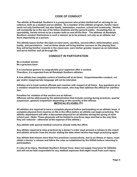# **CODE OF CONDUCT**

**The athlete at Randolph Southern is a young person who prides him/herself on striving for excellence, both as a student and an athlete. As a member of the athletic program, he/she represents not only him/herself, but also family, teammates, coaches, school and community. He/she will constantly be in the eye of his fellow students and the general public. Accepting this responsibility, he/she strives to be a leader both on and off the floor. The athletes at Randolph Southern conduct themselves in such a manner as to be praised, not only as an athlete, but more importantly as a person.** 

**The athlete bases his/her life-style on hard work, sacrifice, second-effort, determination, punctuality, and persistence. Just as these ideals will bring him/her success on the playing floor, they will bring him/her rewards in the classroom, earn his/her greater respect as an individual, and serve him/her well all through life.** 

# **CONDUCT IN PARTICIPATION**

**Be a modest winner. Be a gracious loser.** 

**It is courteous gesture to congratulate your opponent after a contest. Therefore, it is expected from all Randolph Southern athletes.** 

**A true athlete has complete control of him/herself at all times. Unsportsmanlike conduct, vulgar and/or inappropriate language will not be tolerated.** 

**Athletes are to treat contest officials and coaches with respect at all times. Any questions as to a violation should be directed toward the coach, who may then address the official for clarification.** 

**Penalties for violation of this section are as follows: Offenses will be addressed by the administration that include running during practices, quarter suspension, game(s) suspension depending on the severity of the offense.** 

# **MEDICAL/ELIGIBILITY**

**All athletes are required to have a complete physical before participating on an athletic team. A complete physical form must be on file in the office before an athlete can begin practicing. The athletic department will offer a discounted physical for all athletes during the spring of each school year. (Note: These physicals will be limited to one-three days and that is the only time they are reduced – otherwise at the expense of the athlete.)** 

**Any athlete with special medical concerns should notify the office.** 

**Any athlete required to miss practices by a doctor's order must present a release to the coach and athletic director from the doctor stating the date when he/she may begin practicing again.** 

**Any athlete that misses more than five practices consecutively, due to an illness or injury, must obtain a doctor's release and follow the rules as established by the IHSAA before returning to participation.** 

**In case of an injury, Randolph Southern School Corp. does not supply insurance for Athletes and will not be held responsible for any medical expenses that might result from such injury.**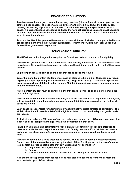# **PRACTICE REGULATIONS**

**An athlete must have a good reason for missing practice. (Illness, funeral, or emergencies constitute a good reason.) The coach, athletic director and principal will have the final say concerning the missing of practice or contests. The athlete is to obey the specific rules of each coach. If a student misses school due to illness they are not permitted to attend practice, game or event. If problems occur between an athlete/parent and the coach, please contact the athletic director immediately.** 

**To use school facilities you must have supervision at all times. A student is not permitted to use school equipment or facilities without supervision. First Offense will be gym laps; Second Offense will be game/meet suspension.**

# **SCHOLASTIC ELIGIBILITY**

**The IHSAA and school regulations require the following academic standards for eligibility.** 

**An athlete in grades 9 thru 12 must be enrolled and passing a minimum of 70% of the class periods offered. On a traditional seven period schedule the minimum would be five out of the seven classes.** 

**Eligibility periods will begin or end the day that grade cards are issued.** 

**Junior high and Elementary students must pass all classes to be eligible. Students may regain eligibility if they are passing all classes or making progress bi-weekly. Teachers will provide a progress report per athletic director request. Maintaining passing grades is necessary for students to remain eligible.** 

**An elementary student must be enrolled in the fifth grade in order to be eligible to participate on a junior high team.** 

**Any student/athlete that is academically ineligible at the conclusion of a respective school year, will not be eligible when the next school year begins. Eligibility may begin when the first grade cards are issued.** 

**Each coach is responsible for permitting only academically eligible athletes to participate. The athletic director will provide a list of all ineligible athletes to coaches the day that grade cards are issued.** 

**A student who is twenty (20) years of age on a scheduled date of the IHSAA state tournament in a sport shall be ineligible as to age for athletic competition in that sport.** 

**In addition to maintaining satisfactory grades, an athlete should give respectful attention to classroom activities and respect for students and faculty members. If and athlete becomes a problem in the classroom, he/she should expect disciplinary action from the athletic department.** 

**An athlete should have a good attendance record. He/She should seldom be absent or tardy from school. Athletes must be in school by the start of their fourth period on the day of an athletic contest in order to participate that day. Exceptions will be made for:** 

- **1. Legitimate doctor, dentist appointment.**
- **2. Funeral**
- **3. All other absences must be cleared with the principal or athletic director.**

**If an athlete is suspended from school, he/she may also be suspended from one or more athletic contests upon his/her return.**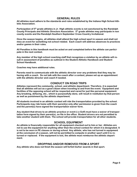#### **GENERAL RULES**

**All athletes must adhere to the standards and rules established by the Indiana High School Athletic Association.** 

**Participation of 5th grade athletes in Jr. High athletic events is not sanctioned by the Randolph County Principals and Athletic Directors Association. 5th grade athletes may participate in non county events and the Randolph Southern September Cross Country Invitational.** 

**Once the season begins, all athletes shall attend the high school sport in season and shall not miss an event for something not school related. Each coach will address absences to practices and/or games in their rules.** 

**All Penalties in this handbook must be acted on and completed before the athlete can participate in the next contest.** 

**Any member of the high school coaching staff that recognizes a violation by an athlete will result in assessment of penalties as outlined in the Student Athletic Handbook and Student School Handbook.** 

**Coaches may have additional rules.** 

**Parents need to communicate with the athletic director over any problems that they may be having with a coach. Do not talk with the coach after a contest, please set up an appointment with the athletic director and coach if needed.** 

#### **CONDUCT ON ROAD TRIPS**

**Athletes represent the community, school, and athletic department. Therefore, it is expected that all athletes will act as a good citizen when traveling to and from the event. Equipment and facilities of the opposing school will be respected and cared for just like personal equipment. Any breaking, defacing, etc., which is purposefully done, will result in restitution by that person as well as punishment by the athletic department.** 

**All students involved in an athletic contest will ride the transportation provided by the school. Participants may ride home with their parent(s) only after permission is given from the coach and the parent(s) have signed the transportation waiver form.** 

**Any student that drives to an athletic practice or event (i.e Golf) must have a waiver of transportation form signed by their parent(s), on file in the office. Student drivers are not permitted to take another student with them. The school will provide transportation for all other students.** 

#### **SCHOOL EQUIPMENT**

**An athlete is financially responsible for all equipment checked out to him or her. Athletes are not to use the equipment for anything other than the school contest for which it is designated. It is not to be worn in PE classes or during school. Any athlete, who has not turned in equipment at the conclusion of a season, will not be permitted to compete in another sport until it is returned or replaced. If the equipment is lost, the athlete must reimburse the athletic department.**

#### **DROPPING AND/OR REMOVED FROM A SPORT**

**Any athlete who does not finish the season will forfeit his/her awards in that sport.**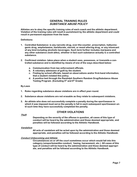# **GENERAL TRAINING RULES SUBSTANCE ABUSE POLICY**

**Athletes are to obey the specific training rules of each coach and the athletic department. Violation of the training rules will result in punishment by the athletic department and could result in permanent expulsion from the team.** 

**Definitions:** 

- **1. Controlled Substance- is any narcotic drug, over-the-counter, prescription, hallucinogenic drug, amphetamine, barbiturate, steroid, or mood altering drug, or any intoxicant of any kind including alcoholic beverages. Such term further includes marijuana and any other substance (look-alike), whether in fact such substance actually is a controlled substance.**
- **2. Confirmed violation- takes place when a student uses, possesses, or transmits a controlled substance and is identified by means of one of the ways described below:** 
	- **a. Communication from law enforcement officials.**
	- **b. A voluntary admission of guilt by the student.**
	- **c. Finding by school officials, based on observations and/or first-hand information, that a student violated this policy.**
	- **d. A positive test through the Randolph Southern Random Drug/Substance Abuse Testing Program. (Excluding 5th and 6th Grade)**

**By-Laws** 

- **1. Rules regarding substance abuse violations are in effect year-round.**
- **2. Substance abuse violations are not erasable as they relate to subsequent violations.**
- **3. An athlete who does not successfully complete a penalty during the sport/season in which it was imposed must serve the penalty in full in each subsequent sport/season until such time they have successfully completed the penalty.**

# **OTHER VIOLATIONS**

**Theft**

**Depending on the severity of the offense in question, all cases of this type of conduct will be heard by the administration and those deemed appropriate, and penalties will be followed according to the Athletic Handbook.** 

#### **Vandalism**

**All acts of vandalism will be acted upon by the administration and those deemed appropriate, and penalties will be followed according to the Athletic Handbook.** 

#### **Conduct Unbecoming and Athlete**

 **Circumstances on or off the court sometimes occur which would fall into this category (unsportsmanlike conduct, hazing, harassment, etc.) All cases of this type of conduct will be heard by the administration and those deemed appropri ate, and penalties will be followed according to the Athletic Handbook.**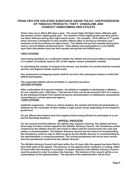# **PENALTIES FOR VIOLATING SUBSTANCE ABUSE POLICY, USE/POSSESSION OF TOBACCO PRODUCTS, THEFT, VANDALISM, AND CONDUCT UNBECOMING AND ATHLETE**

**These rules are in effect 365 days a year. The Junior High will follow these offenses until the summer of their eighth grade year. The summer of their eighth grade year they will follow these offenses during their high school career. For example: (First offense in 7th grade when I become a freshman if I have another offense after or during my freshman year I would be on the first offense for high school.) The athlete will use their penalty during their next or current IHSAA sanctioned sport. If the athlete only participates in a non-IHSAA sport then that athlete must use their penalty during that non-IHSAA sport.** 

#### **FIRST OFFENSE**

**Upon being identified, as a confirmed violator the athlete will not be permitted to participate in a number of contests equal to 25% of the regular season scheduled contests.** 

**In calculating the number of contest to be missed, any fraction of a contest shall be counted and the next highest number shall be used.** 

**Any suspension-overlapping season shall be served in the subsequent season in which the athlete participates.** 

**The suspended athlete will be permitted or required to practice. SECOND OFFENSE**

**After confirmation of a second violation, the athlete is ineligible to participate in athletics for one calendar year. (365 days.) This period of time can be decreased to 50% of a season by the building principal if the student produces documentation of satisfactory assessment/ counseling by a school approved agency. THIRD OFFENSE**

**Indefinite suspension – if there is a third violation, the student will forfeit all participation in athletics for the remainder of their middle or high school career depending on the student's grade level.** 

**On any offense the student must test negative before being allowed to participate in a contest for Randolph Southern.** 

#### **APPEAL PROCESS**

**For the second and third offense, the athlete may request a hearing. The athlete will have three days to make a written appeal to the Athletic Advisory Council. The disciplinary action rendered by the athletic director will remain in effect until the Council hears the case and makes a recommendation. The Athletic Advisory Council has the choice of recommending the disciplinary action to stay in effect as given by the athletic director or recommending to the administration a revised punishment. The revised punishment will not be more severe than the punishment rendered by the athletic director.** 

**The Athletic Advisory Council will meet within five (5) days after the appeal has been filed to hear both sides of the appeal. The decision on the appeal will be rendered, in writing, within 24 hours after the hearing is concluded. (A simple majority of the Athletic Advisory Council must be present in order to conduct the hearing.) The decision of the council will be a recommendation to the administration. The decision of the administration will be final.**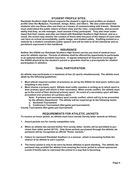# **STUDENT PROFILE SITES**

**Randolph Southern High School respects the student's right to post profiles on studentprofile sites like MySpace, Facebook, Xanga, Bebo, and others. We also understand that students who use these sites use them as a means of communicating with friends. Students must understand the public nature of these sites and the risks, responsibility, and accountability that they, as site manager, must assume if they participate. They also must understand that their names and sites are linked with Randolph Southern High School, and as a result, the school may monitor the content of these sites because of the impact of such sites can have on school accountability, public image, and student safety. Anything posted on a website by a student constitutes public speech and will be held to all the standards and expectations expressed in this handbook**

#### **INSURANCE**

 **Neither the IHSAA nor Randolph Southern High School carries any kind of medical insur ance for athletic injuries. Parents of athletes shall be offered the opportunity to participate in an optional student accident insurance. A signed statement of insurance coverage on the IHSAA physical by the student's parent or guardian shall be a prerequisite for student participation in athletics** 

# **DUAL PARTICIPATION**

**An athlete may participate in a maximum of two (2) sports simultaneously. The athlete must abide by the following guidelines:** 

- **1. Must attend required number of practices as set by the IHSAA for that sport, before participating in any event.**
- **2. Must choose a primary sport. Athlete must notify coaches in writing as to which sport is their primary sport and which is their secondary. When events conflict, the athlete must go to the event of their declared primary sport. An event of a secondary sport will take precedent over practice of a primary sport.**

**Note: If primary and secondary sport events conflict, which will try to be prevented by the athletic department: The athlete will be required go to the following meets.** 

- **a. Sectional Tournament**
- **b. Conference Tournament (Not game just tournament)**

**County Tournament (Not game just tournament)** 

# **REQUIREMENTS FOR ATHLETIC JACKETS**

**To receive an honor jacket, an athlete must have earned Varsity letter awards as follows:** 

- **1. Award jackets are for varsity competition only.**
- **2. When an athlete has earned his/her first varsity letter, he/she will be permitted to purchase their letter jacket (\$110). Only those jackets purchased through the athletic department will be recognized as official "Honor Jackets."**
- **3. Failure to represent Randolph Southern in a manner, which is becoming forfeits the chance of an athlete to earn a jacket.**
- **4. The honor jacket is only to be worn by those athletes in good standing. The athletic department may prohibit the athlete from wearing the honor jacket to school sponsored events if he/she fails to represent the school in a way that is becoming.**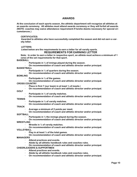# **AWARDS**

**At the conclusion of each sports season, the athletic department will recognize all athletes at an awards ceremony. All athletes must attend awards ceremony or they will forfeit all awards. (NOTE: coaches may waive attendance requirement if he/she deems necessary for special circumstances.)** 

#### **CERTIFICATES:**

**Awarded to athletes who have successfully completed the season and did not earn a varsity letter.** 

#### **LETTERS:**

#### **Listed below are the requirements to earn a letter for all varsity sports. REQUIREMENTS FOR EARNING LETTER**

**Note: In order to earn a letter in respective sport, an athlete must achieve a minimum of 1 (one) of the set requirements for that sport.** 

#### **BASEBALL**

- **· Participate in ½ of innings played during the season.**
- **· On recommendation of coach and athletic director and/or principal.**
- **BASKETBALL** 
	- **· Participate in ¼ of quarters during the season.**
	- **· On recommendation of coach and athletic director and/or principal.**
- **BOWLING** 
	- **· Participate in ½ of the games.**
	- **· On recommendation of coach and athletic director and/or principal.**
- **CROSS COUNTRY** 
	- **· Place in first 7 (our team) in at least ½ of meets.\**
	- **· On recommendation of coach and athletic director and/or principal.**
- **GOLF**
- **· Participate in ½ of varsity matches.**
- **· On recommendation of coach and athletic director and/or principal.**
- **TENNIS** 
	- **· Participate in ½ of varsity matches.**
	- **· On recommendation of coach and athletic director and/or principal.**
- **TRACK** 
	- **· Average a minimum of 2 points per meet.**
	- **· On recommendation of coach and athletic director and/or principal.**
- **SOFTBALL** 
	- **· Participate in ½ the innings played during the season.**
	- **· On recommendation of coach and athletic director and/or principal.**
- **WRESTLING** 
	- **· Wrestle in ½ of varsity matches.**
	- **· On recommendation of coach and athletic director and/or principal.**
- **VOLLEYBALL** 
	- **· Play in at least ½ of the total games.**
	- **· On recommendation of coach and athletic director and/or principal.**
- **MANAGERS** 
	- **· Attend practices and events.**
	- **· Abide by all athletic handbook rules and coaches rules.**
	- **· On recommendation of coach and athletic director and/or principal.**

#### **CHEERLEADERS & SUPPORTMEN**

- **· Attend practices and events.**
- **· Abide by all athletic handbook rules and coaches rules.**
- **· On recommendation of coach and athletic director and/or principal.**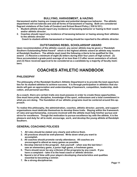# **BULLYING, HARASSMENT, & HAZING**

**Harassment and/or hazing are inappropriate and potential dangerous behavior. The athletic department will not tolerate and and all forms of harassment or hazing. Both are considered flagrant violations of the Code of Conduct and School Board Policy ( 530 & 531).** 

- **1. Student-athlete should report any incidence of harassing behavior or hazing to their coach and/or athletic director.**
- **2. Coaches should report any incidence of harassing behavior or hazing among their athletes to the athletic director**

**Coach to student-athlete harassment or hazing should be reported to the athletic director.**

# **OUTSTANDING REBEL SCHOLARSHIP AWARD**

**Upon recommendation of the athletic council, any senior athlete may be given a "Randolph Southern Outstanding Rebel Award" which is the highest athletic award an athlete may receive at Randolph Southern. The athlete must meet the following criteria to be qualified for this award: (1) Receive a minimum of eight (8) letters during their four years of high school: (2) Have accumulated a grade point average of no less than 2.5 after seven semesters of school; and (3) Have received approval to be considered as a candidate by a majority of faculty members.** 

# **COACHES ATHLETIC HANDBOOK**

# **PHILOSOPHY**

**The philosophy of the Randolph Southern Athletic Department is to provide the best opportunities for its student-athletes to achieve success. It is through participation in athletics that students will gain an appreciation and understanding of teamwork, competition, leadership, dedication, and personal sacrifice.** 

**As a coach, there are certain traits one must possess in order to create these opportunities. One must have pride, discipline, knowledge of the sport, enthusiasm and a total commitment in what you are doing. The foundation of our athletic programs must be centered around this approach.** 

**To realize this philosophy, the administration, coaches, athletic director, parents, and support organizations must dedicate themselves to develop these traits. Staying within the framework of rules and sportsmanship, everyone involved with the athlete must help him/her pursue and strive for excellence. Though the motivation to pursue excellence lay with the athlete, it is the pleasure and duty for all to mold, encourage, work, and develop the young athlete at Randolph Southern.** 

# **GENERAL COACHING POLICIES**

- **1. All rules should be stated very clearly and enforce them.**
- **2. All practices should be well-planned. Write down what you want to accomplish.**
- **3. All coaches should promote varsity attendance. All coaches are encouraged to attend as many games as possible.**
- **4. Develop interest in the program. Ask yourself when was the last time I saw an elementary game, a junior high game, a freshman game.**
- **5. There should never be any criticism of the programs by any coach. If you have a complaint – take it to the head coach or athletic director.**
- **6. Spend a lot of time with your players developing characteristics and qualities essential to becoming a winner.**
- **7. Be a strong disciplinarian.**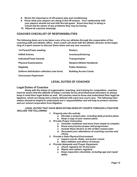- **8. Stress the importance of off-season play and conditioning.**
- **9. Know what your players are doing in the off-season. Your relationship with your players should not end with the last game. Know how they're doing in school and be aware of any problems they may be having.**
- **10. Attend all coaches meetings.**

# **COACHES CHECKLIST OF RESPONSIBILITIES**

**The following items are to be taken care of by our athletes through the cooperation of the coaching staff and athletic office. Each coach will meet with the athletic director at the beginning of a sport season to discuss these items and any new concerns.** 

| 1st Parent/Team meeting                    | <b>Rosters</b>                  |
|--------------------------------------------|---------------------------------|
| <b>IHSAA Entries</b>                       | <b>Inventory/Ordering</b>       |
| Individual/Team Awards                     | <b>Transportation</b>           |
| <b>Physical Examinations</b>               | <b>Student-Athlete Handbook</b> |
| <b>Eligibility</b>                         | <b>Public Relations</b>         |
| Uniform distribution collection (see form) | <b>Building Access Cards</b>    |

**Concussion Paperwork** 

# **LEGAL DUTIES OF COACHES**

### **Legal Duties of Coaches**

 **Along with the duties of organization, teaching, and training for competition, coaches must be aware that the attitude of today's society forces all professional educators to always keep in mind their legal duties as well. All coaches need to know and understand their legal obligations, which are being more clearly defined with each new court case. The following information should be helpful to understand one's responsibilities and will help to protect coaches and our school corporation from litigation.**

 **LEGAL DUTIES THAT HAVE BEEN ESTABLISHED BY COURTS THROUGH LITIGATION INCLUDE THE FOLLOWING:** 

- **1. Properly plan the activity.** 
	- **a. Develop a season plan, including daily practice plans. b. Keep a copy of your season plans.**
- **2. Provide Proper Instruction.** 
	- **a. Consider readiness and move from simple to complex.** 
		- **b. Know and practice proper skill progression.**
		- **c. Include these factors on the written season plan.**
		- **d. Document your attendance at coaching courses and clinics.**
- **3. Provide a Safe Physical Environment.** 
	- **a. Inspect courts, fields, and locker rooms.**
	- **b. Warn athletes and others of misuse.**
- **4. Provide Adequate and Proper Equipment.** 
	- **a. Check regularly for fit and wear.**
	- **b. Repair and replace regularly.**
	- **c. Keep inspection checklists, including age and repair dates.**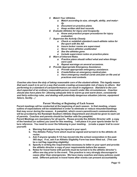- **5. Match Your Athletes.** 
	- **a. Match according to size, strength, ability, and maturity.** 
		- **b. Document on practice plans.**
		- **c. Keep written skill test records.**
- **6. Evaluate Athletes for Injury and Incapacity.** 
	- **a. Know and practice proper procedures for injury evaluation.**
- **7. Supervise the Activity Closely.** 
	- **a. Check or establish standard coach-athlete ratios for the sport with the AD.**
	- **b. Insure locker rooms are supervised.**
	- **c. Never leave athletes unattended**.
	- **d. See the athletes gone.**
	- **e. Include supervision notes on practice plans.**
- **8. Warn of Inherent Risks.** 
	- **a. Practice plans should reflect what and when things were said.**
	- **b. Repeat warnings on several occasions.**
- **9. Provide Appropriate Emergency Assistance.** 
	- **a. Provide appropriate emergency assistance.**
	- **b. Create/follow an emergency medical plan.**
	- **c. Have emergency medical cards and plan on file and at practices and contests.**

**Coaches also have the duty of taking reasonable care of the student-athlete. This legally means that each coach is to act in a way that avoids creating unreasonable risk of injury to others. Not performing to a standard of care/performance can result in negligence. Standard is the conduct expected of an ordinary reasonable person (coach) under like circumstances. Coaches should also have plans for: allowing adequate time to warm-up and warm down, consistently and fairly enforcing rules, and dealing with potentially dangerous situation (storms, equipment failure, facility…)** 

#### Parent Meeting at Beginning of Each Season

**Parent meetings will be conducted at the beginning of each season. In that meeting, a basic outline of expectations will be established in order to eliminate or reduce misunderstandings that may occur during the season. A pamphlet, which covers parent/coach communications, will be provided by the Randolph Southern Athletic Department and should be given to each set of parents. Coaches and parents should be familiar with the pamphlet.** 

**Parent Meetings are mandatory for all sports. Please provide the Athletic Director with a copy of the handout (or outline) you used for this meeting. I will place it in your sports binder for future reference. You need to cover the following in your meeting: (create a paper trail to cover yourself)** 

- **a. Warning that players may be injured in your sport.**
- **b. The Athletic Policy Form which must be signed and turned in to the athletic director.**
- **c. Ask if anyone (grades 9-12) has moved into the school corporation in the past 365 days. If so, ask if an Athletic Eligibility Form has been filled out. (This can be a red flag regarding eligibility)**
- **d. Specify in writing the requirements necessary to letter in your sport and provide the athletic director a copy of your requirements before the season.**
- **e. Notes for travel home with parents must be turned in to the athletic director's office one day prior to the event. This practice is very strongly discouraged in cases other than emergencies. We have many coaches and many policies could exist. Different policies in travel home after events can present accountability**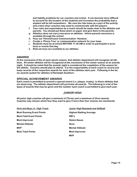**and liability problems for our coaches and school. It can become more difficult to account for the location of the students and increases the probability that a student will be left somewhere. We view the ride home as a part of the activity and a time when coaches may need to communicate with the players.** 

- **f. Your rules and expectations as a coach should be made clear to the athletes and parents. You should put these down on paper and give them to the parents.**
- **g. Athletics does not carry insurance on athletes. Inform parents insurance is available through the school.**
- **h. Pass out 'Parent/Coach Communication' Handout.**
- **i. Create a 'Phone Tree' or communication network for your team.**
- **j. Students must be at school BEFORE 11:30 AM in order to participate in practices or events that day.**
- **k. Reid services are available to our athletes.**

#### **AWARDS**

**At the conclusion of the of each sports season, that athletic department will recognize all athletes. All winter athletes will be recognized at the conclusion of the winter season at an awards night. It should be noted that the awards night is considered the completion of the season for the athlete. Coaches should plan to attend. It is the responsibility of each coach to record and keep records of the respective awards for each of the athletes each year. Following is the basic awards system for athletes of Randolph Southern.** 

#### **SPECIAL ACHIEVEMENT AWARDS**

**Each coach is permitted to present a special award (i.e. plaque, trophy) to those athletes that are deserving. The athletic department will purchase all awards. The following is a list of the types of awards that may be given and the number each coach is permitted to give each year.** 

#### **JUNIOR HIGH**

**All junior high coaches will give a minimum of (Three) and a maximum of (five) awards. Coaches may choose which four they want to give if more than four choices are mentioned.** 

**Most Running Event Points Areas Average States Highest Batting Average Most Field Event Points Community RBI's Most Improved Contract Contract Stolen Bases Mental Attitude Contract Runs Runs MVP** Mental Attitude **Most Total Points Community Community Community Community Community Community Community Community Community Community Community Community Community Community Community Community Community Community Community Community Com** 

**Girls and Boys Jr. High Track Junior High Baseball and Softball MVP**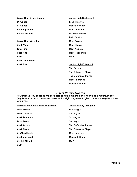| <b>Junior High Cross Country</b> | <b>Junior High Basketball</b> |
|----------------------------------|-------------------------------|
| #1 runner                        | <b>Free Throw %</b>           |
| $#2$ runner                      | <b>Mental Attitude</b>        |
| <b>Most Improved</b>             | <b>Most Improved</b>          |
| <b>Mental Attitude</b>           | <b>Mr./Miss Hustle</b>        |
|                                  | <b>Field Goal %</b>           |
| <b>Junior High Wrestling</b>     | <b>Most Points</b>            |
| <b>Most Wins</b>                 | <b>Most Steals</b>            |
| <b>Total Pins</b>                | <b>Most Assists</b>           |
| <b>Most Pins</b>                 | <b>Most Rebounds</b>          |
| <b>MVP</b>                       | <b>MVP</b>                    |
| <b>Most Takedowns</b>            |                               |
| <b>Most Pins</b>                 | <b>Junior High Volleyball</b> |
|                                  | <b>Top Server</b>             |
|                                  | <b>Top Offensive Player</b>   |
|                                  | <b>Top Defensive Player</b>   |
|                                  | <b>Most Improved</b>          |
|                                  | <b>Mental Attitude</b>        |

# **Junior Varsity Awards**

**All Junior Varsity coaches are permitted to give a minimum of 4 (four) and a maximum of 8 (eight) awards. Coaches may choose which eight they want to give if more than eight choices are given.** 

| <b>Junior Varsity Basketball (Boys/Girls)</b> | <b>Junior Varsity Volleyball</b> |
|-----------------------------------------------|----------------------------------|
| <b>Field Goal %</b>                           | <b>Bumping</b> %                 |
| <b>Free Throw</b> %                           | Serving %                        |
| <b>Most Rebounds</b>                          | Spiking %                        |
| <b>Total Points</b>                           | Setting %                        |
| <b>Most Assists</b>                           | <b>Top Defensive Player</b>      |
| <b>Most Steals</b>                            | <b>Top Offensive Player</b>      |
| <b>Mr./Miss Hustle</b>                        | <b>Most Improved</b>             |
| <b>Most Improved</b>                          | <b>Mental Attitude</b>           |
| <b>Mental Attitude</b>                        | <b>MVP</b>                       |
| <b>MVP</b>                                    |                                  |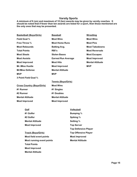# **Varsity Sports**

**A minimum of 6 (six) and maximum of 10 (ten) awards may be given by varsity coaches. It should be noted that if fewer than ten awards are listed for a sport, then those mentioned are the only ones that may be presented.**

|                     | <b>Basketball (Boys/Girls)</b>    | <b>Baseball</b>           |                             | <b>Wrestling</b>       |
|---------------------|-----------------------------------|---------------------------|-----------------------------|------------------------|
| <b>Field Goal %</b> |                                   | <b>Most Wins</b>          |                             | <b>Most Wins</b>       |
|                     | <b>Free Throw %</b>               | <b>Most Home Runs</b>     |                             | <b>Most Pins</b>       |
|                     | <b>Most Rebounds</b>              | <b>Batting Avg.</b>       |                             | <b>Most Takedowns</b>  |
| <b>Total Points</b> |                                   | RBI's                     |                             | <b>Most Reversals</b>  |
| <b>Most Steals</b>  |                                   | <b>Stolen Bases</b>       |                             | <b>Most Escapes</b>    |
| <b>Most Assists</b> |                                   | <b>Earned Run Average</b> |                             | <b>Most Improved</b>   |
|                     | <b>Most Improved</b>              | <b>Most Hits</b>          |                             | <b>Mental Attitude</b> |
|                     | <b>Mr./Miss Hustle</b>            | <b>Most Improved</b>      |                             | <b>MVP</b>             |
|                     | <b>Mr/Miss Defense</b>            | <b>Mental Attitude</b>    |                             |                        |
| <b>MVP</b>          |                                   | <b>MVP</b>                |                             |                        |
|                     | 3 Point Field Goal %              |                           |                             |                        |
|                     |                                   | Tennis (Boys/Girls)       |                             |                        |
|                     | <b>Cross Country (Boys/Girls)</b> | <b>Most Wins</b>          |                             |                        |
| #1 Runner           |                                   | #1 Singles                |                             |                        |
| #2 Runner           |                                   | #1 Doubles                |                             |                        |
|                     | <b>Mental Attitude</b>            | <b>Mental Attitude</b>    |                             |                        |
|                     | <b>Most Improved</b>              | <b>Most Improved</b>      |                             |                        |
|                     |                                   |                           |                             |                        |
|                     | Golf                              |                           | <b>Volleyball</b>           |                        |
|                     | #1 Golfer                         |                           | <b>Bumping %</b>            |                        |
|                     | #2 Golfer                         |                           | Spiking %                   |                        |
|                     | <b>Mental Attitude</b>            |                           | Setting %                   |                        |
|                     | <b>Most Improved</b>              |                           | <b>Top Server</b>           |                        |
|                     |                                   |                           | <b>Top Defensive Player</b> |                        |
|                     | <b>Track (Boys/Girls)</b>         |                           | <b>Top Offensive Player</b> |                        |
|                     | Most field event points           |                           | <b>Most Improved</b>        |                        |
|                     | Most running event points         |                           | <b>Mental Attitude</b>      |                        |
|                     | <b>Total Points</b>               |                           |                             |                        |
|                     | <b>Most Improved</b>              |                           |                             |                        |
|                     | <b>Mental Attitude</b>            |                           |                             |                        |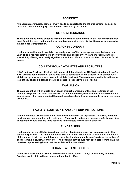# **ACCIDENTS**

**All accidents or injuries, home or away, are to be reported to the athletic director as soon as possible. An accident/injury form must be filled out by the coach.** 

# **CLINIC ATTENDANCE**

**The athletic office wants coaches to remain current in each of their fields. Possible reimbursement for clinics must be handled prior to attendance at a clinic. School transportation may be available for transportation.** 

# **COACHES CONDUCT**

**It is imperative that each coach is continually aware of his or her appearance, behavior, etc… Each of us is representative of our own values and philosophy. We are charged with the responsibility of being seen and judged by our actions. We are to be a positive role model for all to see.** 

# **COLLEGE BOUND ATHLETES AND RECRUITERS**

**NCAA and NAIA bylaws affect all high school athletes eligible for NCAA division I and II and/or NAIA athletic scholarships or those who plan to participate in any division I or II and/or NAIA athletic programs as a non-scholarship athlete (walk-on). These rules are available in the athletic office. These guidelines should be posted in respective locker rooms.** 

# **EVALUATION**

**The athletic office will evaluate each coach through personal contact and visitation of the coach's programs. All head coaches will be evaluated through a written evaluation by the athletic director. It is recommended that each coach evaluate his/her assistants through the same procedure.** 

# **FACILITY, EQUIPMENT, AND UNIFORM INSPECTIONS**

**All head coaches are responsible for routine inspection of the equipment, uniforms, and facilities they use in conjunction with their sport. They are to make sure these are safe for use. Any questionable situations are to be reported immediately to the athletic director.** 

#### **FUNDRAISING**

**It is the policy of the athletic department that any fundraising must first be approved by the school corporation. The athletic office will do everything in its power to provide for the needs of the teams. It is in the best interest of the school and community to refrain from the selling of cheap items, i.e. jewelry, candy, etc. The coaching staff should first seek help from the athletic boosters in purchasing items that the athletic office is unable to.** 

# **IHSAA STATE ENTRY LISTS**

**All entry list work copies are due in the athletic office seven (7) days before entry deadline. Coaches are to pick up these copies in the athletic office.**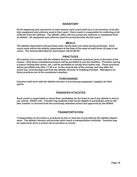### **INVENTORY**

**At the beginning and conclusion of each season each coach shall turn in an inventory of all athletic equipment and uniforms used in their sport. Each coach is responsible for collecting of all uniforms from the athletes. The athletic office will not accept any uniforms or equipment from an athlete. All equipment and uniforms must be turned directly into the coach.** 

#### **MEALS**

**The athletic department will purchase each varsity team one meal during sectionals. Each coach must inform the athletic department of the date of the meal at least three (3) days in advance. The amount allocated for each player will be \$8.00.** 

# **PRACTICES**

**All coaches are to meet with the athletic director to schedule practices prior to the start of the season. Only those scheduled practices will be permitted to use the facilities. Practices during a school closing time (snow, etc.) will be permitted to varsity level teams only. These practices will be permitted only after 11:00 a.m. on the second day of the closing, and only after the coach has received approval from the athletic director or building principal. Attendance at these practices are to be considered voluntary.** 

# **PURCHASING**

**Coaches shall work with the athletic director in purchasing equipment, supplies for their sports.** 

# **TRANSFER ATHLETES**

**Each coach is responsible to check their candidates for the team to see if any athlete is new to our school. IHSAA rule: Transferring students shall not be eligible to participate until an athletic transfer is received from the previously attended school and approved by the IHSAA.** 

# **TRANSPORTATION**

**Transportation to all events or practices by bus or mini-bus is provided by the athletic department. The athletic director will provide each coach a transportation schedule. Coaches may be required to drive a school van to practice or events.**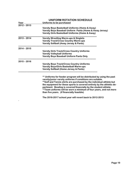|               | <b>UNIFORM ROTATION SCHEDULE</b>                                                                                                                                                                                                                                                                                                                                                                                                                                              |
|---------------|-------------------------------------------------------------------------------------------------------------------------------------------------------------------------------------------------------------------------------------------------------------------------------------------------------------------------------------------------------------------------------------------------------------------------------------------------------------------------------|
| Year          | Uniforms to be purchased                                                                                                                                                                                                                                                                                                                                                                                                                                                      |
| $2012 - 2013$ |                                                                                                                                                                                                                                                                                                                                                                                                                                                                               |
|               | Varsity Boys Basketball Uniforms (Home & Away)<br>Varsity Boys Baseball Uniform Pants (Home & Away Jersey)<br><b>Varsity Girls Basketball Uniforms (Home &amp; Away)</b>                                                                                                                                                                                                                                                                                                      |
| $2013 - 2014$ | <b>Varsity Wrestling Warm-ups &amp; Singlets</b><br><b>Varsity Track/Cross Country Warm-ups</b><br><b>Varsity Softball (Away Jersey &amp; Pants)</b>                                                                                                                                                                                                                                                                                                                          |
| $2014 - 2015$ |                                                                                                                                                                                                                                                                                                                                                                                                                                                                               |
|               | <b>Varsity Girls Track/Cross Country Uniforms</b><br><b>Varsity Volleyball Uniforms</b><br><b>Varsity Boys Baseball Uniform Pants Only</b>                                                                                                                                                                                                                                                                                                                                    |
| $2015 - 2016$ |                                                                                                                                                                                                                                                                                                                                                                                                                                                                               |
|               | <b>Varsity Boys Track/Cross Country Uniforms</b><br><b>Varsity Boys/Girls Basketball Warm-ups</b><br><b>Varsity Softball (Home Jersey &amp; Pants)</b>                                                                                                                                                                                                                                                                                                                        |
|               | ** Uniforms for feeder program will be distributed by using the past<br>varsity/junior varsity uniforms if conditions are suitable.<br>**Golf and Tennis shirts are purchased by the individual athlete but<br>the equipment for these sports is covered entirely by the athletic de-<br>partment. Bowling is covered financially by the student athlete.<br>**Team uniforms will be worn a minimum of four years, and not more<br>than five years. (if financially feasible) |
|               | The 2016-2017 school year will revert back to 2012-2013                                                                                                                                                                                                                                                                                                                                                                                                                       |

**.**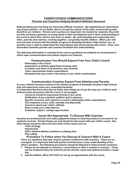# **PARENT/COACH COMMUNICATIONS Parents and Coaches Helping Student-Athletes Succeed**

**Both parenting and coaching are extremely difficult vocations. By establishing an understanding of each position, we are better able to accept the actions of the other and provide greater benefit to our children. Parents and coaches are important role models for students; they both provide necessary guidance to young adults in their development and in their understanding of the world in which they will live and work as adults. By understanding and respecting each other, parents and coaches, working together, can greatly benefit children. When your children become involved with the athletic program at Randolph Southern High School, you, as parents, have a right to understand the expectations that will be placed upon them. Clear communication between parents and coaches facilitates this understanding.** 

**The following information is intended to be used as guidelines to establish an environment in which open communication and mutual respect are fostered.** 

# **Communication You Should Expect From Your Child's Coach**

- **· Philosophy of the Coach**
- **· Explanation of athletic department training rules**
- **· Locations and times of all practices and contests**
- **· Team requirements and/or expectations**
- **· Discipline that may result in the denial of your child's participation**

# **Communication Coaches Expect From Athletes and Parents**

**As your children become involved in the athletic program at Randolph Southern High School, they will experience some very rewarding moments.** 

**It is important that there also may be times when things do not go the way your children wish. At these times discussion with the coach is encouraged.** 

- **· Concerns should be expressed directly to the coach.**
- **· Notification of any schedule conflicts well in advance.**
- **· Specific concerns with regard to a coach's philosophy and/or expectations.**
- **· The treatment of your child, mentally and physically.**
- **· Concerns about your child's attitude.**
- **· Ways to help your child improve.**
- **· Academic support, college opportunities**

#### **Issues Not Appropriate To Discuss With Coaches**

**Coaches are professionals who make judgments based on what they believe to be best for all students involved. Certain things can and should be discussed with your child's coach. But, other things should be left to the discretion of the coach such as:** 

- **· Team strategy**
- **· Playing time**
- **· Other student-athletes positions or playing time**
- **· Play calling**

#### **Procedure To Follow when You Discuss A Concern With A Coach There are situations that may require a parent conference with coach(s). These are encouraged! It is important that both parties involved have a clear understanding of the other's position. The following procedures should be followed to help promote resolution:**

- **1. Please do not attempt to confront a coach before or after a contest or practice. These can be emotional times for both the parent and the coach and seldom promote a resolution.**
- **2. Call the athletic office (874-2541) to set up an appointment with the coach.**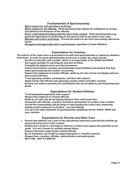# **Fundamentals of Sportsmanship**

- **· Show respect for self and others at all time.**
- **· Show respect for the officials. Good sportsmanship implies the willingness to accept and abide by the decisions of the officials.**
- **· Know, understand and appreciate the rules of the contest. Good sportsmanship suggests the importance of conforming to the spirit as well as the letter of the rules.**
- **· Maintain self-control at all times. Prevent the desire to win from overcoming rational behavior.**
- **· Recognize and appreciate skill in performance regardless of team affiliation.**

# **Expectations for Coaches**

**The actions of the coach have a great deal to do with how sportsmanship is valued by members if the team. In order for good sportsmanship to become a reality, the coach should:**

- **· Act like an educator and a leader, which is an expectation of the IHSAA and RSHS**
- **· Set a good example for participants and fans to follow.**
- **· Exemplify the highest moral and ethical behavior.**
- **· Instruct participants in proper sportsmanship responsibilities and demand that they make sportsmanship the number one priority.**
- **· Respect the judgment of contest officials, abide by all rules and do not display behavior that could incite fans.**
- **· Treat opposing coaches, participants, and fans with respect.**
- **· Shake hands with officials and opposing coaches before and after contests.**
- **· Develop and enforce penalties for participants who do not abide by sportsmanship standards.**

# **Expectations for Student-Athletes**

- **· Treat teammates/opponents with respect.**
- **· Respect the judgment of contest officials.**
- **· Abide by all rules and do not display behavior that could incite fans.**
- **· Cooperate with officials, coaches, and fellow participants to conduct a fair contest.**
- **· Accept the responsibility and privilege of representing the school and community.**
- **· Display positive behavior at all times…no trash talking!**
- Live up to the high standards of sportsmanship established by the IHSAA, RSHS and **your coaches.**

# **Expectations for Parents and Other Fans**

- **Realize that athletics are a part of the educational experience and that the benefits go beyond the final score of the contest.**
- **· Realize that a ticket is a privilege to observe a contest and support the activities of our youth. It is not a license to verbally assault others.**
- **· Respect decisions made by the contest officials.**
- **· Be an exemplary role model by supporting teams in a positive manner.**
- **· Respect fans, coaches, officials, administration and participants.**
- **· BE A FAN…NOT A FANATIC!**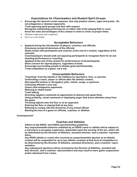# **Expectations for Cheerleaders and Student Spirit Groups**

- **Encourage the desired crowd response. Use only positive cheers, signs and praise. Do not antagonize or demean opponents.**
- **· Treat opposing spirit groups and fans with respect.**
- **· Recognize outstanding performances on either side of the playing field or court.**
- **· Know the rules and strategies of the contest in order to cheer at proper times.**
- Maintain enthusiasm and composure.
- Serve as a role model.

# **Acceptable Behaviors**

- • **Applaud during the introduction of players, coaches, and officials.**
- **· Graciously accept all decisions of the officials.**
- **· Shake hands with participants and coaches at the end of a contest, regardless of the outcome.**
- **· Coaches/players should seek out opposing participants to recognize them for an outstanding performance or coaching.**
- **· Applaud at the end of the contest for performances of all participants.**
- **· Show concern for injured players, regardless of team.**
- **· Encourage surrounding people to display good sportsmanship.**
- **· Treat competition as a game, not a war.**

# **Unacceptable Behaviors**

- **· "Coaching" from the stands or the sidelines by spectators, fans, or parents.**
- **· Confronting a coach, player or official after the athletic contest.**
- **· Disrespectful actions or derogatory yells, chants, songs, or gestures.**
- **· Criticizing officials in any way.**
- **· Cheers that antagonize opponents.**
- **· Refusing to shake hands.**
- **· Trash talking**
- **· Directing negative comments at opponent(s) to distract and upset them.**
- **· Using profanity, racial comments or displaying anger that draws attention away from the game.**
- **· Throwing objects onto the floor or at an opponent.**
- **· Entering the floor or playing field at any time.**
- **· Refusing to comply with the directives of any school official.**
- **· Blaming the loss of a game on officials, coaches, or athletes.**

**Consequences\*** 

#### **Coaches and Athletes**

- **· Adhere to the RSHS. and IHSAA sportsmanship guidelines.**
- **· Any unsportsmanlike behavior exhibited by an RSHS coach or athlete will be subject to a warning to a one game suspension, dependent upon the severity of the act, which will be determined by the Director of Athletics, assistant director, and a coaches' representative.**
- **· Any RSHS athlete or coach who received an unsportsmanlike ejection at an athletic contest will be suspended for up to two athletic contests at that level of competition to be determined by the Director of Athletics, assistant director(s), and a coaches' representative.**
- **· Any subsequent ejections will be reviewed by the Director of Athletics, assistant athletic director, and a coaches' representative and may result in more game suspensions and/or dismissal from a team..**